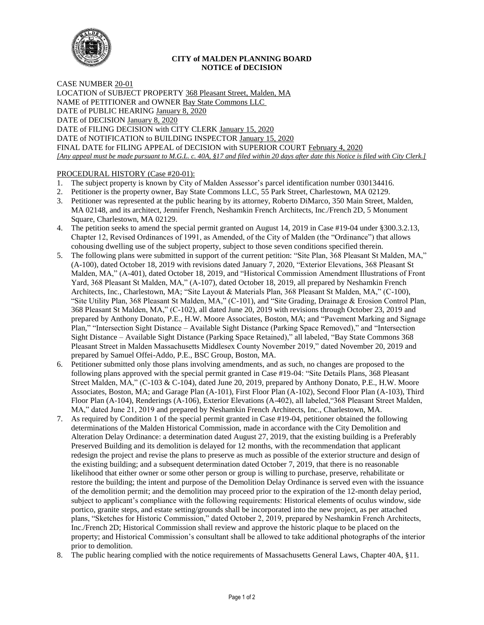

#### **CITY of MALDEN PLANNING BOARD NOTICE of DECISION**

CASE NUMBER 20-01 LOCATION of SUBJECT PROPERTY 368 Pleasant Street, Malden, MA NAME of PETITIONER and OWNER Bay State Commons LLC DATE of PUBLIC HEARING January 8, 2020 DATE of DECISION January 8, 2020 DATE of FILING DECISION with CITY CLERK January 15, 2020 DATE of NOTIFICATION to BUILDING INSPECTOR January 15, 2020 FINAL DATE for FILING APPEAL of DECISION with SUPERIOR COURT February 4, 2020 *[Any appeal must be made pursuant to M.G.L. c. 40A, §17 and filed within 20 days after date this Notice is filed with City Clerk.]* 

## PROCEDURAL HISTORY (Case #20-01):

- 1. The subject property is known by City of Malden Assessor's parcel identification number 030134416.
- 2. Petitioner is the property owner, Bay State Commons LLC, 55 Park Street, Charlestown, MA 02129.
- 3. Petitioner was represented at the public hearing by its attorney, Roberto DiMarco, 350 Main Street, Malden, MA 02148, and its architect, Jennifer French, Neshamkin French Architects, Inc./French 2D, 5 Monument Square, Charlestown, MA 02129.
- 4. The petition seeks to amend the special permit granted on August 14, 2019 in Case #19-04 under §300.3.2.13, Chapter 12, Revised Ordinances of 1991, as Amended, of the City of Malden (the "Ordinance") that allows cohousing dwelling use of the subject property, subject to those seven conditions specified therein.
- 5. The following plans were submitted in support of the current petition: "Site Plan, 368 Pleasant St Malden, MA," (A-100), dated October 18, 2019 with revisions dated January 7, 2020, "Exterior Elevations, 368 Pleasant St Malden, MA," (A-401), dated October 18, 2019, and "Historical Commission Amendment Illustrations of Front Yard, 368 Pleasant St Malden, MA," (A-107), dated October 18, 2019, all prepared by Neshamkin French Architects, Inc., Charlestown, MA; "Site Layout & Materials Plan, 368 Pleasant St Malden, MA," (C-100), "Site Utility Plan, 368 Pleasant St Malden, MA," (C-101), and "Site Grading, Drainage & Erosion Control Plan, 368 Pleasant St Malden, MA," (C-102), all dated June 20, 2019 with revisions through October 23, 2019 and prepared by Anthony Donato, P.E., H.W. Moore Associates, Boston, MA; and "Pavement Marking and Signage Plan," "Intersection Sight Distance – Available Sight Distance (Parking Space Removed)," and "Intersection Sight Distance – Available Sight Distance (Parking Space Retained)," all labeled, "Bay State Commons 368 Pleasant Street in Malden Massachusetts Middlesex County November 2019," dated November 20, 2019 and prepared by Samuel Offei-Addo, P.E., BSC Group, Boston, MA.
- 6. Petitioner submitted only those plans involving amendments, and as such, no changes are proposed to the following plans approved with the special permit granted in Case #19-04: "Site Details Plans, 368 Pleasant Street Malden, MA," (C-103 & C-104), dated June 20, 2019, prepared by Anthony Donato, P.E., H.W. Moore Associates, Boston, MA; and Garage Plan (A-101), First Floor Plan (A-102), Second Floor Plan (A-103), Third Floor Plan (A-104), Renderings (A-106), Exterior Elevations (A-402), all labeled,"368 Pleasant Street Malden, MA," dated June 21, 2019 and prepared by Neshamkin French Architects, Inc., Charlestown, MA.
- 7. As required by Condition 1 of the special permit granted in Case #19-04, petitioner obtained the following determinations of the Malden Historical Commission, made in accordance with the City Demolition and Alteration Delay Ordinance: a determination dated August 27, 2019, that the existing building is a Preferably Preserved Building and its demolition is delayed for 12 months, with the recommendation that applicant redesign the project and revise the plans to preserve as much as possible of the exterior structure and design of the existing building; and a subsequent determination dated October 7, 2019, that there is no reasonable likelihood that either owner or some other person or group is willing to purchase, preserve, rehabilitate or restore the building; the intent and purpose of the Demolition Delay Ordinance is served even with the issuance of the demolition permit; and the demolition may proceed prior to the expiration of the 12-month delay period, subject to applicant's compliance with the following requirements: Historical elements of oculus window, side portico, granite steps, and estate setting/grounds shall be incorporated into the new project, as per attached plans, "Sketches for Historic Commission," dated October 2, 2019, prepared by Neshamkin French Architects, Inc./French 2D; Historical Commission shall review and approve the historic plaque to be placed on the property; and Historical Commission's consultant shall be allowed to take additional photographs of the interior prior to demolition.
- 8. The public hearing complied with the notice requirements of Massachusetts General Laws, Chapter 40A, §11.